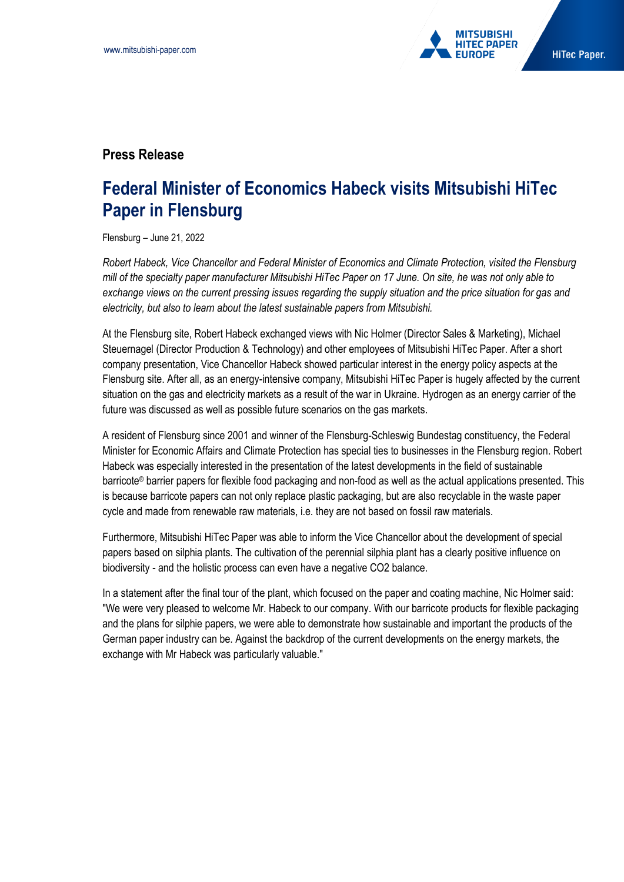

## **Press Release**

## **Federal Minister of Economics Habeck visits Mitsubishi HiTec Paper in Flensburg**

Flensburg – June 21, 2022

*Robert Habeck, Vice Chancellor and Federal Minister of Economics and Climate Protection, visited the Flensburg mill of the specialty paper manufacturer Mitsubishi HiTec Paper on 17 June. On site, he was not only able to exchange views on the current pressing issues regarding the supply situation and the price situation for gas and electricity, but also to learn about the latest sustainable papers from Mitsubishi.*

At the Flensburg site, Robert Habeck exchanged views with Nic Holmer (Director Sales & Marketing), Michael Steuernagel (Director Production & Technology) and other employees of Mitsubishi HiTec Paper. After a short company presentation, Vice Chancellor Habeck showed particular interest in the energy policy aspects at the Flensburg site. After all, as an energy-intensive company, Mitsubishi HiTec Paper is hugely affected by the current situation on the gas and electricity markets as a result of the war in Ukraine. Hydrogen as an energy carrier of the future was discussed as well as possible future scenarios on the gas markets.

A resident of Flensburg since 2001 and winner of the Flensburg-Schleswig Bundestag constituency, the Federal Minister for Economic Affairs and Climate Protection has special ties to businesses in the Flensburg region. Robert Habeck was especially interested in the presentation of the latest developments in the field of sustainable barricote® barrier papers for flexible food packaging and non-food as well as the actual applications presented. This is because barricote papers can not only replace plastic packaging, but are also recyclable in the waste paper cycle and made from renewable raw materials, i.e. they are not based on fossil raw materials.

Furthermore, Mitsubishi HiTec Paper was able to inform the Vice Chancellor about the development of special papers based on silphia plants. The cultivation of the perennial silphia plant has a clearly positive influence on biodiversity - and the holistic process can even have a negative CO2 balance.

In a statement after the final tour of the plant, which focused on the paper and coating machine, Nic Holmer said: "We were very pleased to welcome Mr. Habeck to our company. With our barricote products for flexible packaging and the plans for silphie papers, we were able to demonstrate how sustainable and important the products of the German paper industry can be. Against the backdrop of the current developments on the energy markets, the exchange with Mr Habeck was particularly valuable."